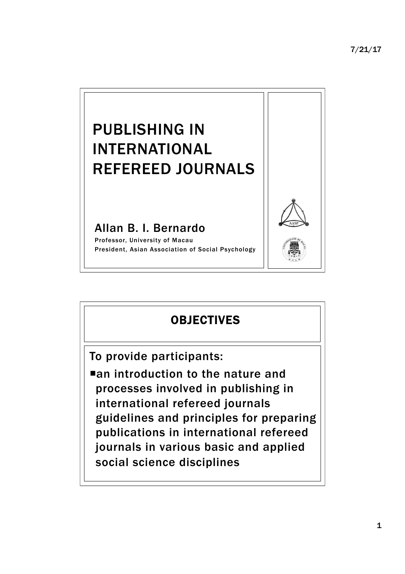

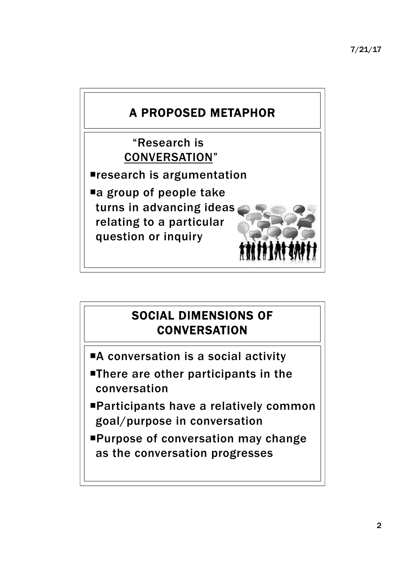

## SOCIAL DIMENSIONS OF **CONVERSATION**

- ■A conversation is a social activity
- **There are other participants in the** conversation
- ¡Participants have a relatively common goal/purpose in conversation
- ¡Purpose of conversation may change as the conversation progresses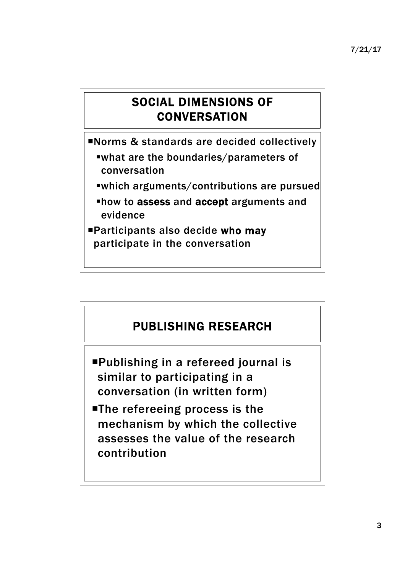### SOCIAL DIMENSIONS OF **CONVERSATION**

¡Norms & standards are decided collectively

- §what are the boundaries/parameters of conversation
- §which arguments/contributions are pursued
- §how to assess and accept arguments and evidence
- ¡Participants also decide who may participate in the conversation

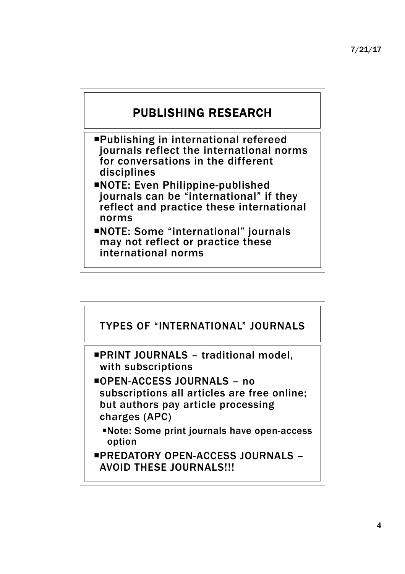

¡Publishing in international refereed journals reflect the international norms for conversations in the different disciplines

- ¡NOTE: Even Philippine-published journals can be "international" if they reflect and practice these international norms
- ¡NOTE: Some "international" journals may not reflect or practice these international norms

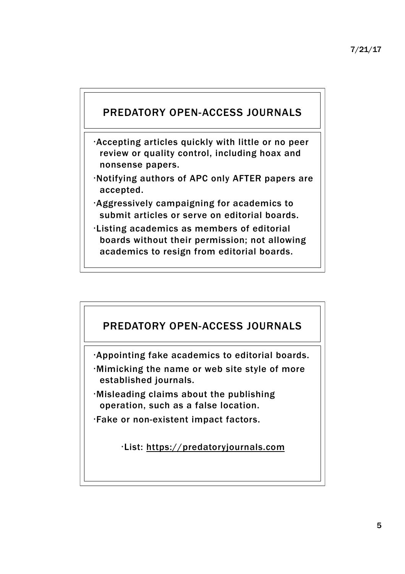#### PREDATORY OPEN-ACCESS JOURNALS

- •Accepting articles quickly with little or no peer review or quality control, including hoax and nonsense papers.
- •Notifying authors of APC only AFTER papers are accepted.
- •Aggressively campaigning for academics to submit articles or serve on editorial boards.
- •Listing academics as members of editorial boards without their permission; not allowing academics to resign from editorial boards.

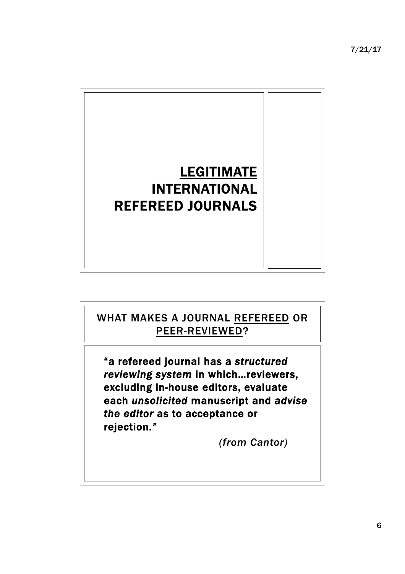7/21/17



## "a refereed journal has a *structured reviewing system* in which…reviewers, excluding in-house editors, evaluate each *unsolicited* manuscript and *advise the editor* as to acceptance or rejection.*" (from Cantor)*  WHAT MAKES A JOURNAL REFEREED OR PEER-REVIEWED?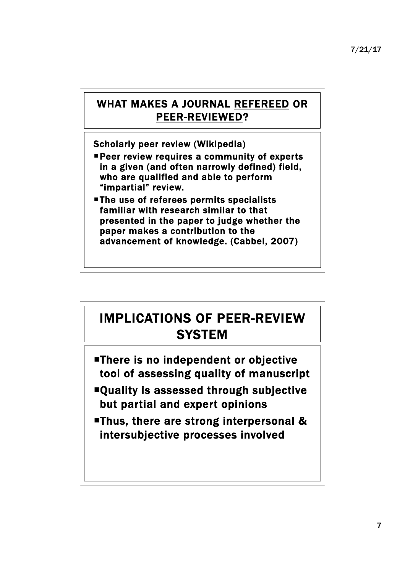#### WHAT MAKES A JOURNAL REFEREED OR PEER-REVIEWED?

Scholarly peer review (Wikipedia)

- **Peer review requires a community of experts** in a given (and often narrowly defined) field, who are qualified and able to perform "impartial" review.
- The use of referees permits specialists familiar with research similar to that presented in the paper to judge whether the paper makes a contribution to the advancement of knowledge. (Cabbel, 2007)

# IMPLICATIONS OF PEER-REVIEW **SYSTEM**

- ¡There is no independent or objective tool of assessing quality of manuscript
- ¡Quality is assessed through subjective but partial and expert opinions
- ■Thus, there are strong interpersonal & intersubjective processes involved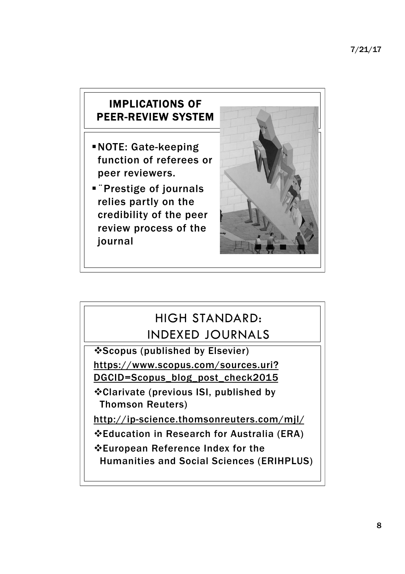#### IMPLICATIONS OF PEER-REVIEW SYSTEM

- §NOTE: Gate-keeping function of referees or peer reviewers.
- Prestige of journals relies partly on the credibility of the peer review process of the journal



## HIGH STANDARD: INDEXED JOURNALS

**\*Scopus (published by Elsevier)** https://www.scopus.com/sources.uri? DGCID=Scopus\_blog\_post\_check2015

vClarivate (previous ISI, published by Thomson Reuters)

http://ip-science.thomsonreuters.com/mjl/

vEducation in Research for Australia (ERA)

vEuropean Reference Index for the

Humanities and Social Sciences (ERIHPLUS)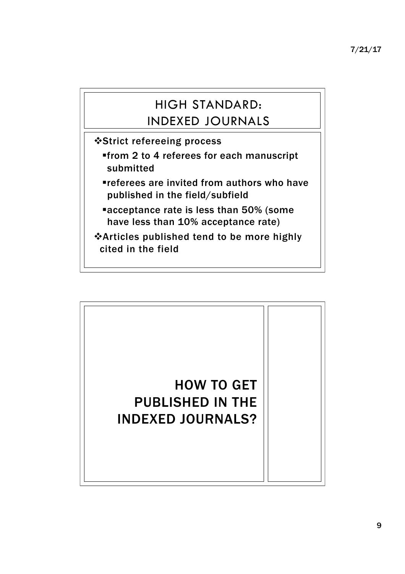## HIGH STANDARD: INDEXED JOURNALS

vStrict refereeing process

- §from 2 to 4 referees for each manuscript submitted
- §referees are invited from authors who have published in the field/subfield
- ■acceptance rate is less than 50% (some have less than 10% acceptance rate)

vArticles published tend to be more highly cited in the field

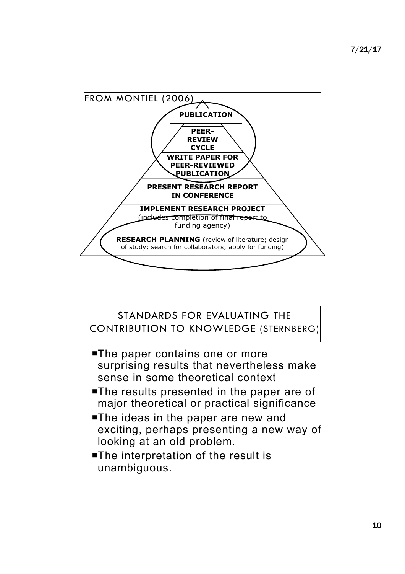

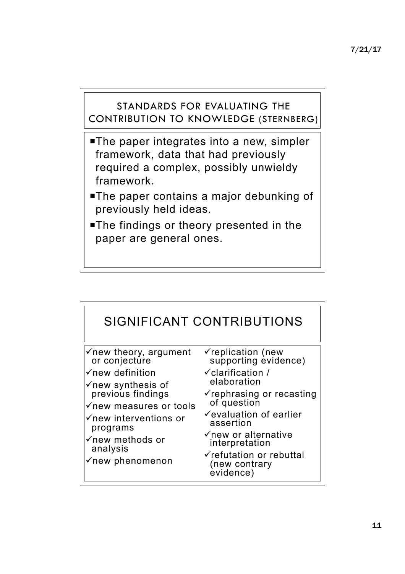#### STANDARDS FOR EVALUATING THE CONTRIBUTION TO KNOWLEDGE (STERNBERG)

- **The paper integrates into a new, simpler** framework, data that had previously required a complex, possibly unwieldy framework.
- ¡The paper contains a major debunking of previously held ideas.
- **The findings or theory presented in the** paper are general ones.

| SIGNIFICANT CONTRIBUTIONS                                                                                                                                                                                                                                                                                |                                                                                                                                                                                                                                                                                                                              |
|----------------------------------------------------------------------------------------------------------------------------------------------------------------------------------------------------------------------------------------------------------------------------------------------------------|------------------------------------------------------------------------------------------------------------------------------------------------------------------------------------------------------------------------------------------------------------------------------------------------------------------------------|
| $\checkmark$ new theory, argument<br>or conjecture<br>$\checkmark$ new definition<br>$\checkmark$ new synthesis of<br>previous findings<br>$\checkmark$ new measures or tools<br>$\checkmark$ new interventions or<br>programs<br>$\checkmark$ new methods or<br>analysis<br>$\checkmark$ new phenomenon | $\checkmark$ replication (new<br>supporting evidence)<br>$\checkmark$ clarification /<br>elaboration<br>$\checkmark$ rephrasing or recasting<br>of question<br>$\checkmark$ evaluation of earlier<br>assertion<br>$\checkmark$ new or alternative<br>interpretation<br>√refutation or rebuttal<br>(new contrary<br>evidence) |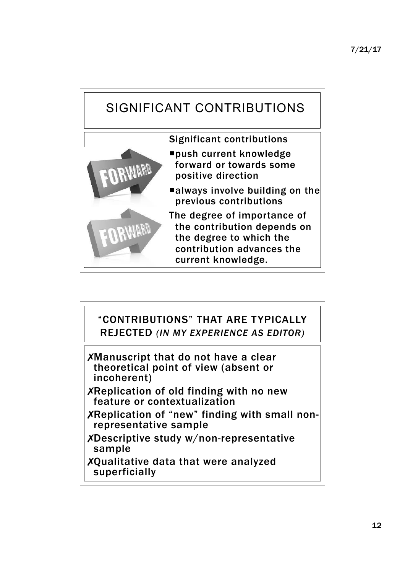

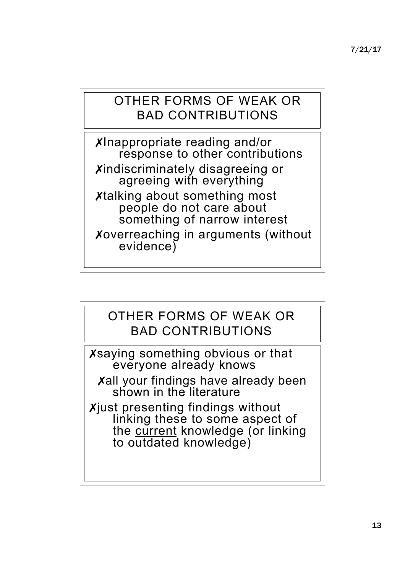## OTHER FORMS OF WEAK OR BAD CONTRIBUTIONS

✗Inappropriate reading and/or response to other contributions Xindiscriminately disagreeing or agreeing with everything ✗talking about something most people do not care about something of narrow interest ✗overreaching in arguments (without evidence)

## OTHER FORMS OF WEAK OR BAD CONTRIBUTIONS

✗saying something obvious or that everyone already knows

**Xall your findings have already been** shown in the literature

✗just presenting findings without linking these to some aspect of the current knowledge (or linking to outdated knowledge)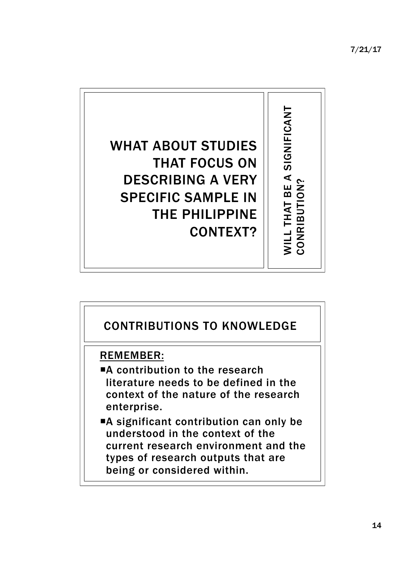7/21/17



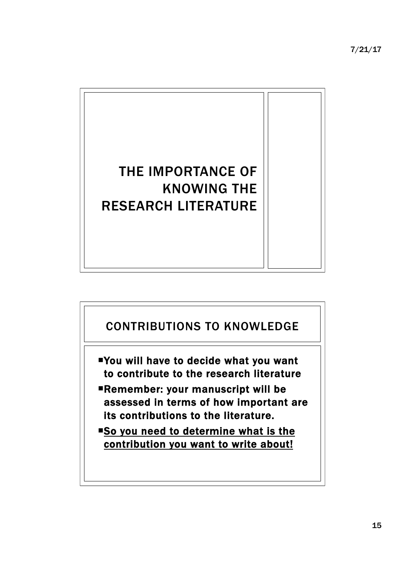7/21/17



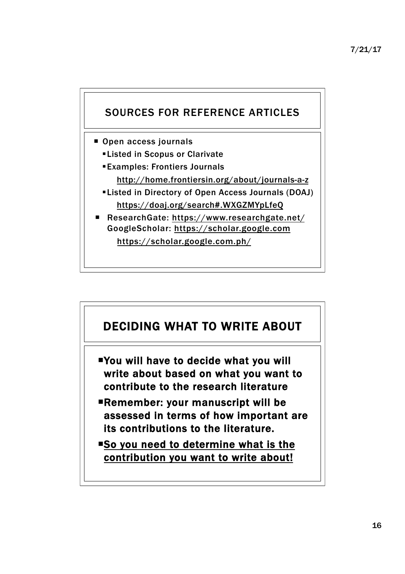

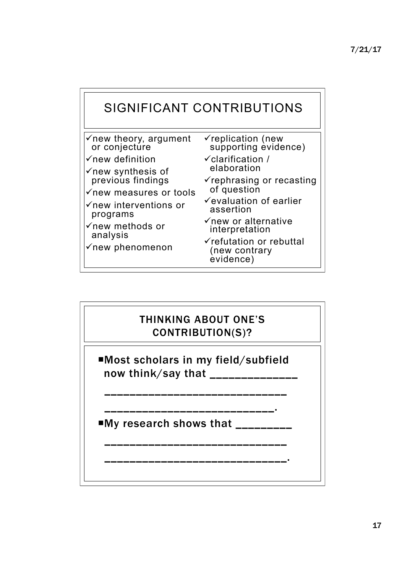

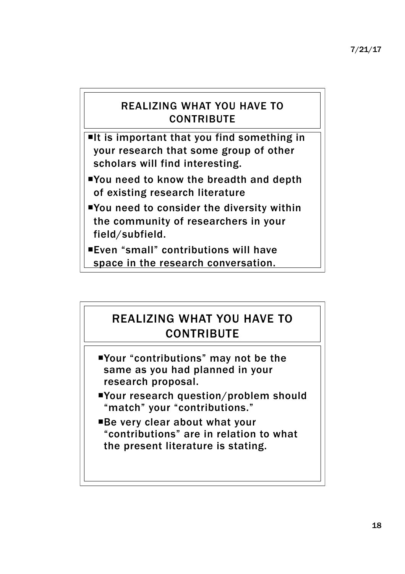#### REALIZING WHAT YOU HAVE TO **CONTRIBUTE**

 $\blacksquare$ It is important that you find something in your research that some group of other scholars will find interesting.

- ¡You need to know the breadth and depth of existing research literature
- ¡You need to consider the diversity within the community of researchers in your field/subfield.
- ¡Even "small" contributions will have space in the research conversation.

#### REALIZING WHAT YOU HAVE TO **CONTRIBUTE**

- ¡Your "contributions" may not be the same as you had planned in your research proposal.
- ¡Your research question/problem should "match" your "contributions."
- ■Be very clear about what your "contributions" are in relation to what the present literature is stating.